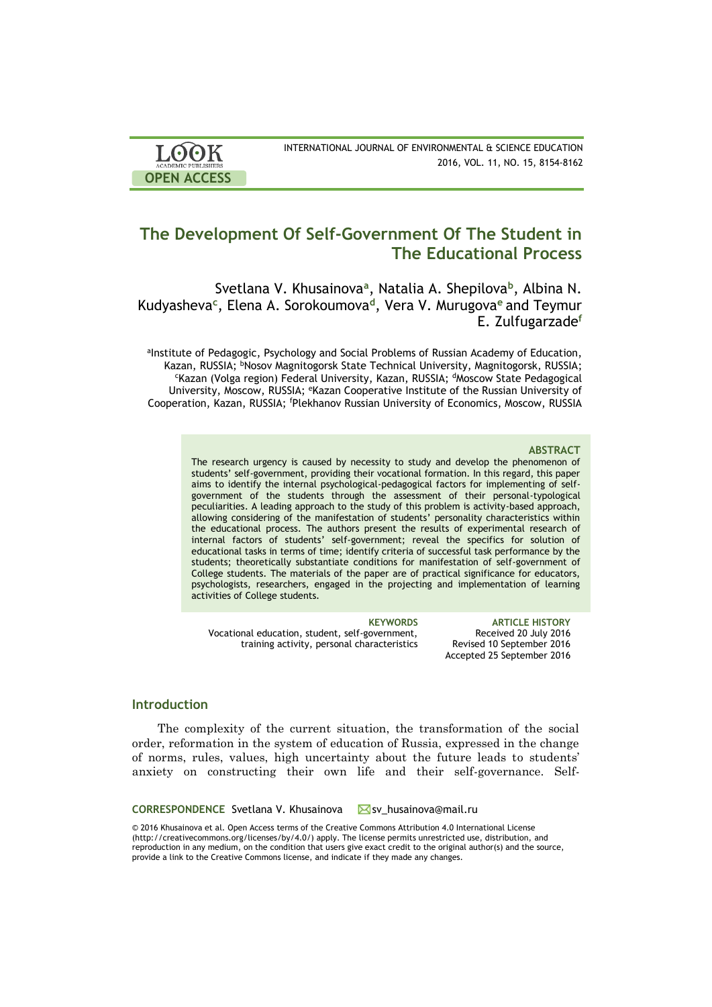| <b>LOOK</b>                | INTERNATIONAL JOURNAL OF ENVIRONMENTAL & SCIENCE EDUCATION |
|----------------------------|------------------------------------------------------------|
| <b>ACADEMIC PUBLISHERS</b> | 2016, VOL. 11, NO. 15, 8154-8162                           |
| <b>OPEN ACCESS</b>         |                                                            |

# **The Development Of Self-Government Of The Student in The Educational Process**

Svetlana V. Khusainova**<sup>a</sup>** , Natalia A. Shepilova**<sup>b</sup>** , Albina N. Kudyasheva**<sup>c</sup>** , Elena A. Sorokoumova**<sup>d</sup>** , Vera V. Murugova**<sup>e</sup>**and Teymur E. Zulfugarzade**<sup>f</sup>**

alnstitute of Pedagogic, Psychology and Social Problems of Russian Academy of Education, Kazan, RUSSIA; <sup>b</sup>Nosov Magnitogorsk State Technical University, Magnitogorsk, RUSSIA; <sup>c</sup>Kazan (Volga region) Federal University, Kazan, RUSSIA; <sup>d</sup>Moscow State Pedagogical University, Moscow, RUSSIA; eKazan Cooperative Institute of the Russian University of Cooperation, Kazan, RUSSIA; <sup>f</sup>Plekhanov Russian University of Economics, Moscow, RUSSIA

#### **ABSTRACT**

The research urgency is caused by necessity to study and develop the phenomenon of students' self-government, providing their vocational formation. In this regard, this paper aims to identify the internal psychological-pedagogical factors for implementing of selfgovernment of the students through the assessment of their personal-typological peculiarities. A leading approach to the study of this problem is activity-based approach, allowing considering of the manifestation of students' personality characteristics within the educational process. The authors present the results of experimental research of internal factors of students' self-government; reveal the specifics for solution of educational tasks in terms of time; identify criteria of successful task performance by the students; theoretically substantiate conditions for manifestation of self-government of College students. The materials of the paper are of practical significance for educators, psychologists, researchers, engaged in the projecting and implementation of learning activities of College students.

Vocational education, student, self-government, training activity, personal characteristics

**KEYWORDS ARTICLE HISTORY** Received 20 July 2016 Revised 10 September 2016 Accepted 25 September 2016

## **Introduction**

The complexity of the current situation, the transformation of the social order, reformation in the system of education of Russia, expressed in the change of norms, rules, values, high uncertainty about the future leads to students' anxiety on constructing their own life and their self-governance. Self-

**CORRESPONDENCE** Svetlana V. Khusainova Svehusainova@mail.ru

© 2016 Khusainova et al. Open Access terms of the Creative Commons Attribution 4.0 International License (http://creativecommons.org/licenses/by/4.0/) apply. The license permits unrestricted use, distribution, and reproduction in any medium, on the condition that users give exact credit to the original author(s) and the source, provide a link to the Creative Commons license, and indicate if they made any changes.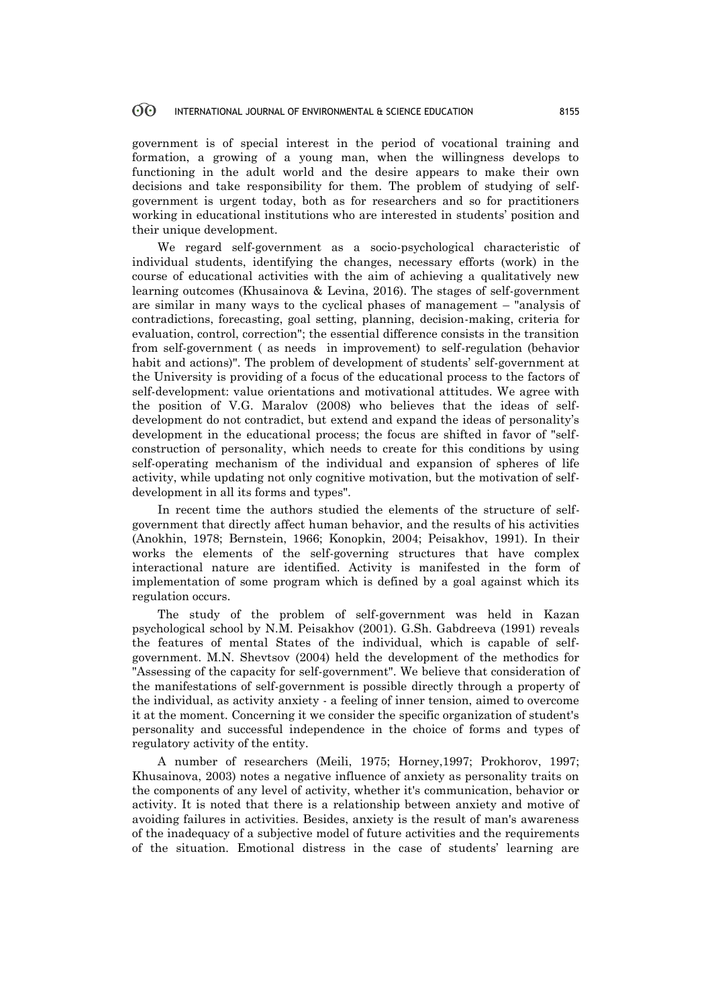government is of special interest in the period of vocational training and formation, a growing of a young man, when the willingness develops to functioning in the adult world and the desire appears to make their own decisions and take responsibility for them. The problem of studying of selfgovernment is urgent today, both as for researchers and so for practitioners working in educational institutions who are interested in students' position and their unique development.

We regard self-government as a socio-psychological characteristic of individual students, identifying the changes, necessary efforts (work) in the course of educational activities with the aim of achieving a qualitatively new learning outcomes (Khusainova & Levina, 2016). The stages of self-government are similar in many ways to the cyclical phases of management – "analysis of contradictions, forecasting, goal setting, planning, decision-making, criteria for evaluation, control, correction"; the essential difference consists in the transition from self-government ( as needs in improvement) to self-regulation (behavior habit and actions)". The problem of development of students' self-government at the University is providing of a focus of the educational process to the factors of self-development: value orientations and motivational attitudes. We agree with the position of V.G. Maralov (2008) who believes that the ideas of selfdevelopment do not contradict, but extend and expand the ideas of personality's development in the educational process; the focus are shifted in favor of "selfconstruction of personality, which needs to create for this conditions by using self-operating mechanism of the individual and expansion of spheres of life activity, while updating not only cognitive motivation, but the motivation of selfdevelopment in all its forms and types".

In recent time the authors studied the elements of the structure of selfgovernment that directly affect human behavior, and the results of his activities (Anokhin, 1978; Bernstein, 1966; Konopkin, 2004; Peisakhov, 1991). In their works the elements of the self-governing structures that have complex interactional nature are identified. Activity is manifested in the form of implementation of some program which is defined by a goal against which its regulation occurs.

The study of the problem of self-government was held in Kazan psychological school by N.M. Peisakhov (2001). G.Sh. Gabdreeva (1991) reveals the features of mental States of the individual, which is capable of selfgovernment. M.N. Shevtsov (2004) held the development of the methodics for "Assessing of the capacity for self-government". We believe that consideration of the manifestations of self-government is possible directly through a property of the individual, as activity anxiety - a feeling of inner tension, aimed to overcome it at the moment. Concerning it we consider the specific organization of student's personality and successful independence in the choice of forms and types of regulatory activity of the entity.

A number of researchers (Meili, 1975; Horney,1997; Prokhorov, 1997; Khusainova, 2003) notes a negative influence of anxiety as personality traits on the components of any level of activity, whether it's communication, behavior or activity. It is noted that there is a relationship between anxiety and motive of avoiding failures in activities. Besides, anxiety is the result of man's awareness of the inadequacy of a subjective model of future activities and the requirements of the situation. Emotional distress in the case of students' learning are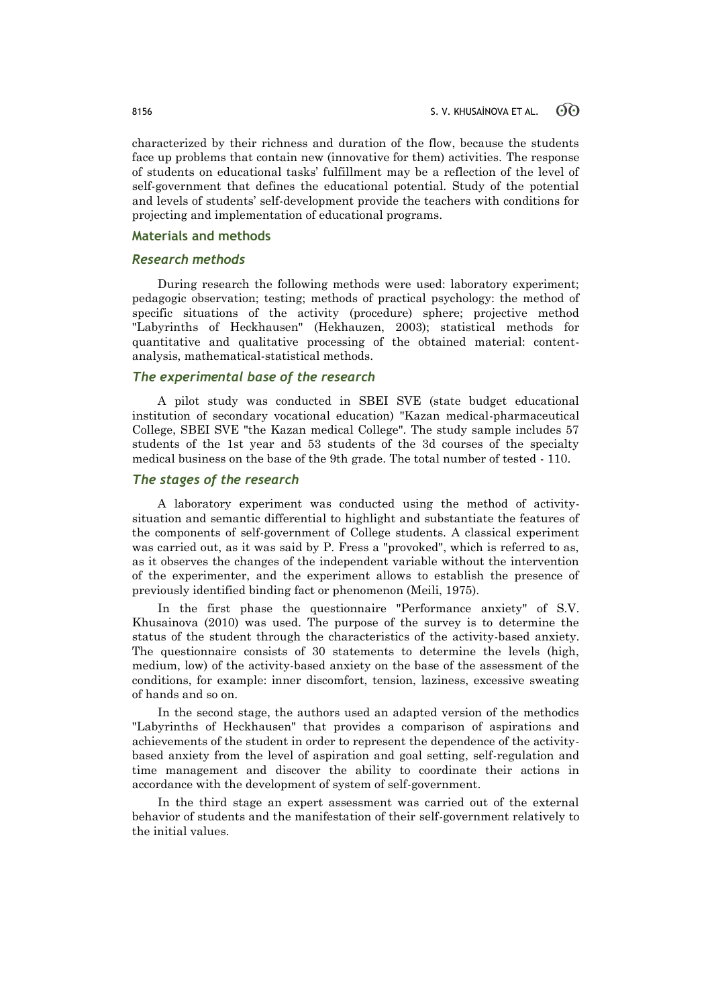characterized by their richness and duration of the flow, because the students face up problems that contain new (innovative for them) activities. The response of students on educational tasks' fulfillment may be a reflection of the level of self-government that defines the educational potential. Study of the potential and levels of students' self-development provide the teachers with conditions for projecting and implementation of educational programs.

## **Materials and methods**

### *Research methods*

During research the following methods were used: laboratory experiment; pedagogic observation; testing; methods of practical psychology: the method of specific situations of the activity (procedure) sphere; projective method "Labyrinths of Heckhausen" (Hekhauzen, 2003); statistical methods for quantitative and qualitative processing of the obtained material: contentanalysis, mathematical-statistical methods.

## *The experimental base of the research*

A pilot study was conducted in SBEI SVE (state budget educational institution of secondary vocational education) "Kazan medical-pharmaceutical College, SBEI SVE "the Kazan medical College". The study sample includes 57 students of the 1st year and 53 students of the 3d courses of the specialty medical business on the base of the 9th grade. The total number of tested - 110.

## *The stages of the research*

A laboratory experiment was conducted using the method of activitysituation and semantic differential to highlight and substantiate the features of the components of self-government of College students. A classical experiment was carried out, as it was said by P. Fress a "provoked", which is referred to as, as it observes the changes of the independent variable without the intervention of the experimenter, and the experiment allows to establish the presence of previously identified binding fact or phenomenon (Meili, 1975).

In the first phase the questionnaire "Performance anxiety" of S.V. Khusainova (2010) was used. The purpose of the survey is to determine the status of the student through the characteristics of the activity-based anxiety. The questionnaire consists of 30 statements to determine the levels (high, medium, low) of the activity-based anxiety on the base of the assessment of the conditions, for example: inner discomfort, tension, laziness, excessive sweating of hands and so on.

In the second stage, the authors used an adapted version of the methodics "Labyrinths of Heckhausen" that provides a comparison of aspirations and achievements of the student in order to represent the dependence of the activitybased anxiety from the level of aspiration and goal setting, self-regulation and time management and discover the ability to coordinate their actions in accordance with the development of system of self-government.

In the third stage an expert assessment was carried out of the external behavior of students and the manifestation of their self-government relatively to the initial values.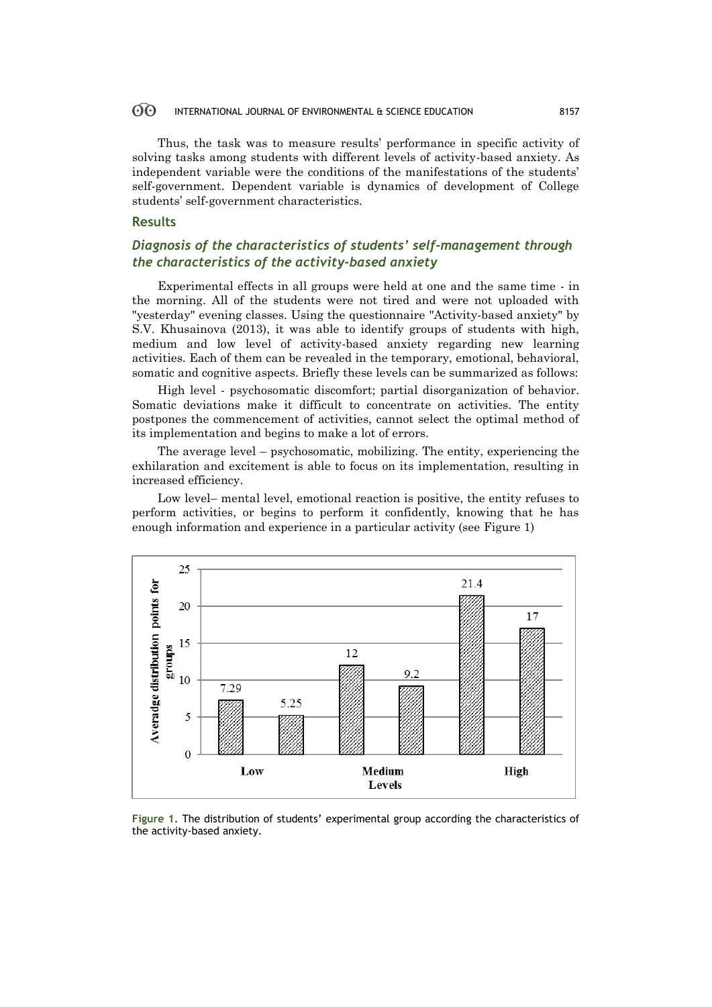Thus, the task was to measure results' performance in specific activity of solving tasks among students with different levels of activity-based anxiety. As independent variable were the conditions of the manifestations of the students' self-government. Dependent variable is dynamics of development of College students' self-government characteristics.

## **Results**

## *Diagnosis of the characteristics of students' self-management through the characteristics of the activity-based anxiety*

Experimental effects in all groups were held at one and the same time - in the morning. All of the students were not tired and were not uploaded with "yesterday" evening classes. Using the questionnaire "Activity-based anxiety" by S.V. Khusainova (2013), it was able to identify groups of students with high, medium and low level of activity-based anxiety regarding new learning activities. Each of them can be revealed in the temporary, emotional, behavioral, somatic and cognitive aspects. Briefly these levels can be summarized as follows:

High level - psychosomatic discomfort; partial disorganization of behavior. Somatic deviations make it difficult to concentrate on activities. The entity postpones the commencement of activities, cannot select the optimal method of its implementation and begins to make a lot of errors.

The average level – psychosomatic, mobilizing. The entity, experiencing the exhilaration and excitement is able to focus on its implementation, resulting in increased efficiency.

Low level– mental level, emotional reaction is positive, the entity refuses to perform activities, or begins to perform it confidently, knowing that he has enough information and experience in a particular activity (see Figure 1)



**Figure 1.** The distribution of students' experimental group according the characteristics of the activity-based anxiety.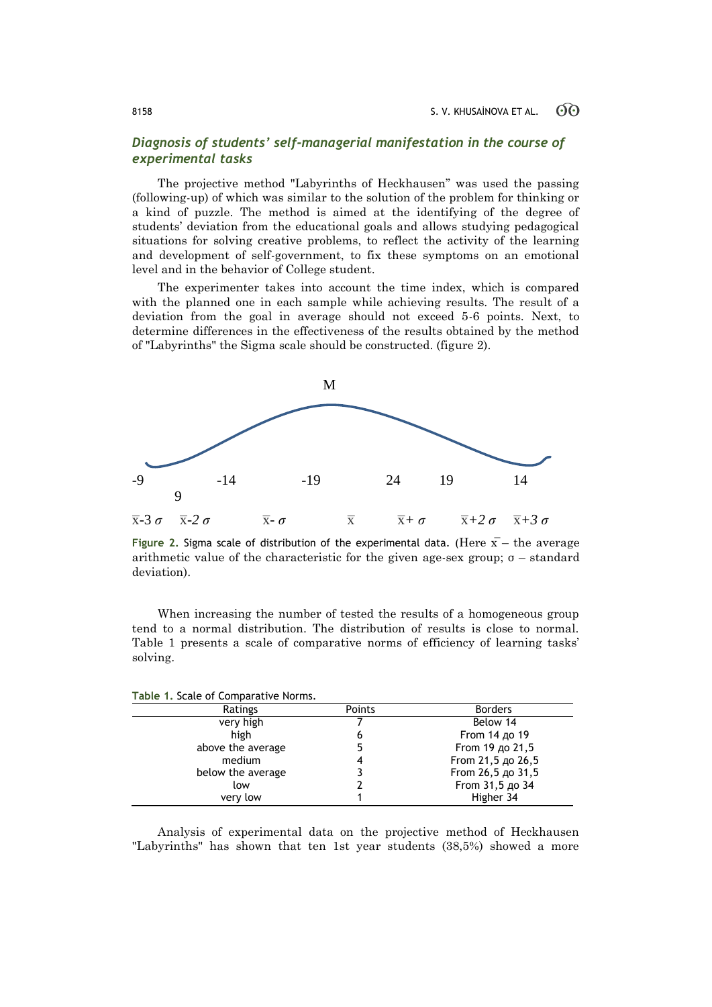## *Diagnosis of students' self-managerial manifestation in the course of experimental tasks*

The projective method "Labyrinths of Heckhausen" was used the passing (following-up) of which was similar to the solution of the problem for thinking or a kind of puzzle. The method is aimed at the identifying of the degree of students' deviation from the educational goals and allows studying pedagogical situations for solving creative problems, to reflect the activity of the learning and development of self-government, to fix these symptoms on an emotional level and in the behavior of College student.

The experimenter takes into account the time index, which is compared with the planned one in each sample while achieving results. The result of a deviation from the goal in average should not exceed 5-6 points. Next, to determine differences in the effectiveness of the results obtained by the method of "Labyrinths" the Sigma scale should be constructed. (figure 2).



**Figure 2.** Sigma scale of distribution of the experimental data. (Here  $\bar{x}$  – the average arithmetic value of the characteristic for the given age-sex group;  $\sigma$  – standard deviation).

When increasing the number of tested the results of a homogeneous group tend to a normal distribution. The distribution of results is close to normal. Table 1 presents a scale of comparative norms of efficiency of learning tasks' solving.

| Table 1. Scale of Comparative Norms. |        |                   |  |
|--------------------------------------|--------|-------------------|--|
| Ratings                              | Points | <b>Borders</b>    |  |
| very high                            |        | Below 14          |  |
| high                                 | 6      | From 14 до 19     |  |
| above the average                    | 5      | From 19 до 21,5   |  |
| medium                               | 4      | From 21,5 до 26,5 |  |
| below the average                    |        | From 26,5 до 31,5 |  |
| low                                  |        | From 31,5 до 34   |  |
| very low                             |        | Higher 34         |  |

**Table 1.** Scale of Comparative Norms.

Analysis of experimental data on the projective method of Heckhausen "Labyrinths" has shown that ten 1st year students (38,5%) showed a more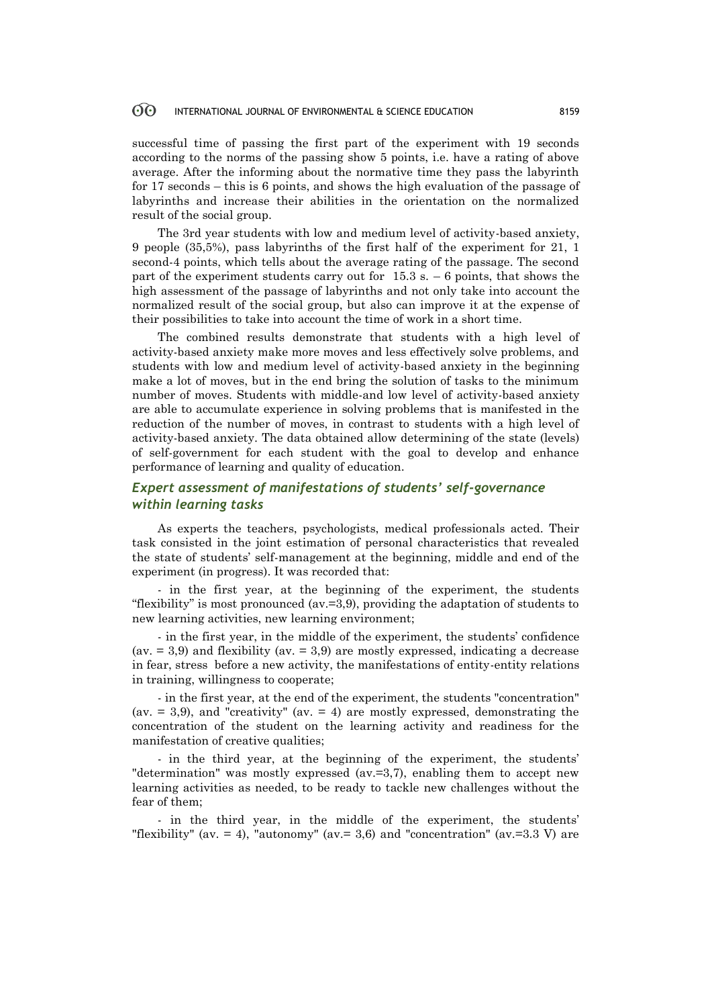successful time of passing the first part of the experiment with 19 seconds according to the norms of the passing show 5 points, i.e. have a rating of above average. After the informing about the normative time they pass the labyrinth for 17 seconds – this is 6 points, and shows the high evaluation of the passage of labyrinths and increase their abilities in the orientation on the normalized result of the social group.

The 3rd year students with low and medium level of activity-based anxiety, 9 people (35,5%), pass labyrinths of the first half of the experiment for 21, 1 second-4 points, which tells about the average rating of the passage. The second part of the experiment students carry out for  $15.3$  s.  $-6$  points, that shows the high assessment of the passage of labyrinths and not only take into account the normalized result of the social group, but also can improve it at the expense of their possibilities to take into account the time of work in a short time.

The combined results demonstrate that students with a high level of activity-based anxiety make more moves and less effectively solve problems, and students with low and medium level of activity-based anxiety in the beginning make a lot of moves, but in the end bring the solution of tasks to the minimum number of moves. Students with middle-and low level of activity-based anxiety are able to accumulate experience in solving problems that is manifested in the reduction of the number of moves, in contrast to students with a high level of activity-based anxiety. The data obtained allow determining of the state (levels) of self-government for each student with the goal to develop and enhance performance of learning and quality of education.

## *Expert assessment of manifestations of students' self-governance within learning tasks*

As experts the teachers, psychologists, medical professionals acted. Their task consisted in the joint estimation of personal characteristics that revealed the state of students' self-management at the beginning, middle and end of the experiment (in progress). It was recorded that:

- in the first year, at the beginning of the experiment, the students "flexibility" is most pronounced ( $av=3,9$ ), providing the adaptation of students to new learning activities, new learning environment;

- in the first year, in the middle of the experiment, the students' confidence (ay.  $= 3.9$ ) and flexibility (ay.  $= 3.9$ ) are mostly expressed, indicating a decrease in fear, stress before a new activity, the manifestations of entity-entity relations in training, willingness to cooperate;

- in the first year, at the end of the experiment, the students "concentration" (av.  $= 3.9$ ), and "creativity" (av.  $= 4$ ) are mostly expressed, demonstrating the concentration of the student on the learning activity and readiness for the manifestation of creative qualities;

- in the third year, at the beginning of the experiment, the students' "determination" was mostly expressed (av.=3,7), enabling them to accept new learning activities as needed, to be ready to tackle new challenges without the fear of them;

- in the third year, in the middle of the experiment, the students' "flexibility" (av. = 4), "autonomy" (av. = 3,6) and "concentration" (av. = 3.3 V) are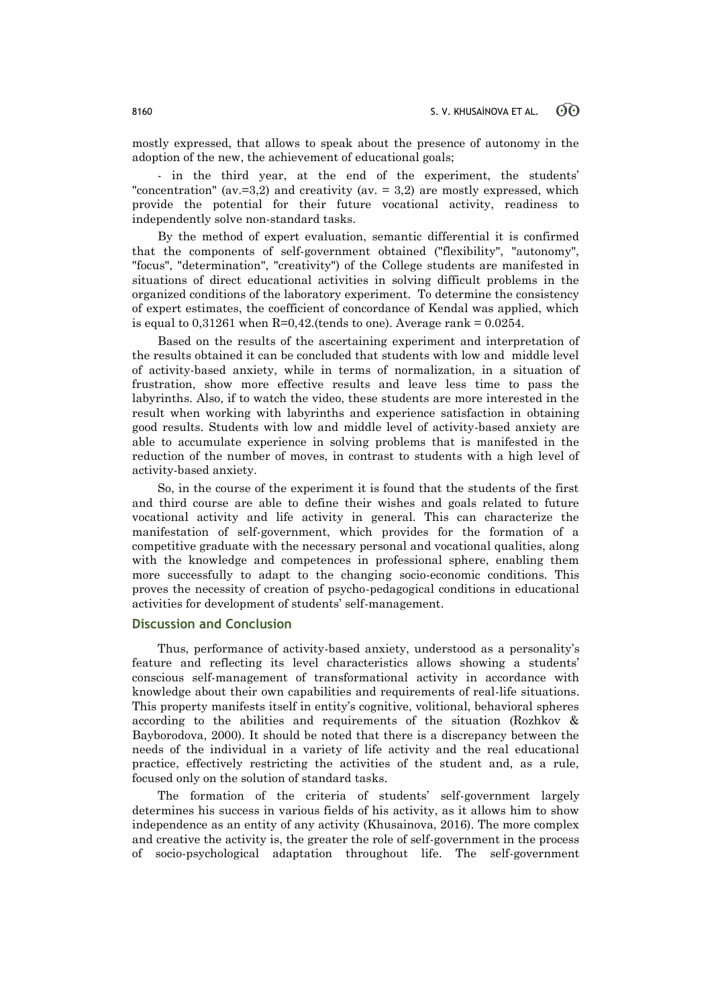mostly expressed, that allows to speak about the presence of autonomy in the adoption of the new, the achievement of educational goals;

- in the third year, at the end of the experiment, the students' "concentration" (av.  $=$  3,2) and creativity (av.  $=$  3,2) are mostly expressed, which provide the potential for their future vocational activity, readiness to independently solve non-standard tasks.

By the method of expert evaluation, semantic differential it is confirmed that the components of self-government obtained ("flexibility", "autonomy", "focus", "determination", "creativity") of the College students are manifested in situations of direct educational activities in solving difficult problems in the organized conditions of the laboratory experiment. To determine the consistency of expert estimates, the coefficient of concordance of Kendal was applied, which is equal to  $0,31261$  when R=0,42.(tends to one). Average rank =  $0.0254$ .

Based on the results of the ascertaining experiment and interpretation of the results obtained it can be concluded that students with low and middle level of activity-based anxiety, while in terms of normalization, in a situation of frustration, show more effective results and leave less time to pass the labyrinths. Also, if to watch the video, these students are more interested in the result when working with labyrinths and experience satisfaction in obtaining good results. Students with low and middle level of activity-based anxiety are able to accumulate experience in solving problems that is manifested in the reduction of the number of moves, in contrast to students with a high level of activity-based anxiety.

So, in the course of the experiment it is found that the students of the first and third course are able to define their wishes and goals related to future vocational activity and life activity in general. This can characterize the manifestation of self-government, which provides for the formation of a competitive graduate with the necessary personal and vocational qualities, along with the knowledge and competences in professional sphere, enabling them more successfully to adapt to the changing socio-economic conditions. This proves the necessity of creation of psycho-pedagogical conditions in educational activities for development of students' self-management.

## **Discussion and Conclusion**

Thus, performance of activity-based anxiety, understood as a personality's feature and reflecting its level characteristics allows showing a students' conscious self-management of transformational activity in accordance with knowledge about their own capabilities and requirements of real-life situations. This property manifests itself in entity's cognitive, volitional, behavioral spheres according to the abilities and requirements of the situation (Rozhkov & Bayborodova, 2000). It should be noted that there is a discrepancy between the needs of the individual in a variety of life activity and the real educational practice, effectively restricting the activities of the student and, as a rule, focused only on the solution of standard tasks.

The formation of the criteria of students' self-government largely determines his success in various fields of his activity, as it allows him to show independence as an entity of any activity (Khusainova, 2016). The more complex and creative the activity is, the greater the role of self-government in the process of socio-psychological adaptation throughout life. The self-government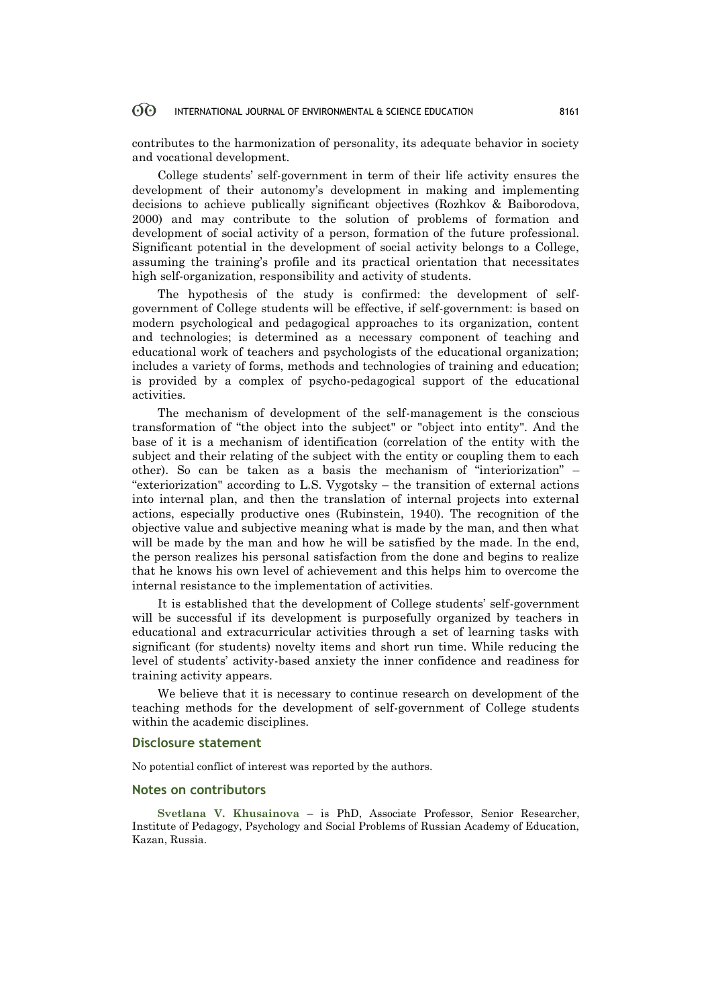contributes to the harmonization of personality, its adequate behavior in society and vocational development.

College students' self-government in term of their life activity ensures the development of their autonomy's development in making and implementing decisions to achieve publically significant objectives (Rozhkov & Baiborodova, 2000) and may contribute to the solution of problems of formation and development of social activity of a person, formation of the future professional. Significant potential in the development of social activity belongs to a College, assuming the training's profile and its practical orientation that necessitates high self-organization, responsibility and activity of students.

The hypothesis of the study is confirmed: the development of selfgovernment of College students will be effective, if self-government: is based on modern psychological and pedagogical approaches to its organization, content and technologies; is determined as a necessary component of teaching and educational work of teachers and psychologists of the educational organization; includes a variety of forms, methods and technologies of training and education; is provided by a complex of psycho-pedagogical support of the educational activities.

The mechanism of development of the self-management is the conscious transformation of "the object into the subject" or "object into entity". And the base of it is a mechanism of identification (correlation of the entity with the subject and their relating of the subject with the entity or coupling them to each other). So can be taken as a basis the mechanism of "interiorization" – "exteriorization" according to L.S. Vygotsky – the transition of external actions into internal plan, and then the translation of internal projects into external actions, especially productive ones (Rubinstein, 1940). The recognition of the objective value and subjective meaning what is made by the man, and then what will be made by the man and how he will be satisfied by the made. In the end, the person realizes his personal satisfaction from the done and begins to realize that he knows his own level of achievement and this helps him to overcome the internal resistance to the implementation of activities.

It is established that the development of College students' self-government will be successful if its development is purposefully organized by teachers in educational and extracurricular activities through a set of learning tasks with significant (for students) novelty items and short run time. While reducing the level of students' activity-based anxiety the inner confidence and readiness for training activity appears.

We believe that it is necessary to continue research on development of the teaching methods for the development of self-government of College students within the academic disciplines.

### **Disclosure statement**

No potential conflict of interest was reported by the authors.

## **Notes on contributors**

**Svetlana V. Khusainova** – is PhD, Associate Professor, Senior Researcher, Institute of Pedagogy, Psychology and Social Problems of Russian Academy of Education, Kazan, Russia.